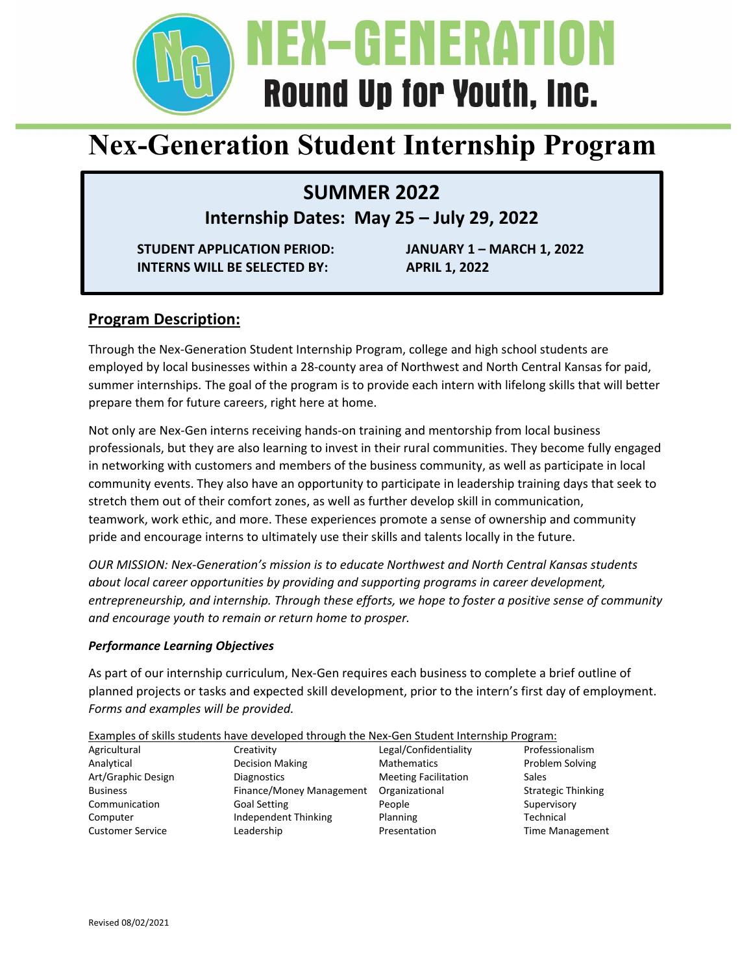

# **Nex-Generation Student Internship Program**

**SUMMER 2022** 

**Internship Dates: May 25 – July 29, 2022** 

**STUDENT APPLICATION PERIOD: JANUARY 1 – MARCH 1, 2022 INTERNS WILL BE SELECTED BY: APRIL 1, 2022** 

## **Program Description:**

Through the Nex‐Generation Student Internship Program, college and high school students are employed by local businesses within a 28‐county area of Northwest and North Central Kansas for paid, summer internships. The goal of the program is to provide each intern with lifelong skills that will better prepare them for future careers, right here at home.

Not only are Nex‐Gen interns receiving hands‐on training and mentorship from local business professionals, but they are also learning to invest in their rural communities. They become fully engaged in networking with customers and members of the business community, as well as participate in local community events. They also have an opportunity to participate in leadership training days that seek to stretch them out of their comfort zones, as well as further develop skill in communication, teamwork, work ethic, and more. These experiences promote a sense of ownership and community pride and encourage interns to ultimately use their skills and talents locally in the future.

*OUR MISSION: Nex‐Generation's mission is to educate Northwest and North Central Kansas students about local career opportunities by providing and supporting programs in career development, entrepreneurship, and internship. Through these efforts, we hope to foster a positive sense of community and encourage youth to remain or return home to prosper.*

## *Performance Learning Objectives*

As part of our internship curriculum, Nex‐Gen requires each business to complete a brief outline of planned projects or tasks and expected skill development, prior to the intern's first day of employment. *Forms and examples will be provided.* 

| Examples of skills students have developed through the Nex-Gen Student Internship Program: |
|--------------------------------------------------------------------------------------------|
|--------------------------------------------------------------------------------------------|

| Agricultural            | Creativity               | Legal/Confidentiality       | Professionalism           |  |
|-------------------------|--------------------------|-----------------------------|---------------------------|--|
| Analytical              | Decision Making          | <b>Mathematics</b>          | Problem Solving           |  |
| Art/Graphic Design      | <b>Diagnostics</b>       | <b>Meeting Facilitation</b> | Sales                     |  |
| <b>Business</b>         | Finance/Money Management | Organizational              | <b>Strategic Thinking</b> |  |
| Communication           | <b>Goal Setting</b>      | People                      | Supervisory               |  |
| Computer                | Independent Thinking     | Planning                    | Technical                 |  |
| <b>Customer Service</b> | Leadership               | Presentation                | <b>Time Management</b>    |  |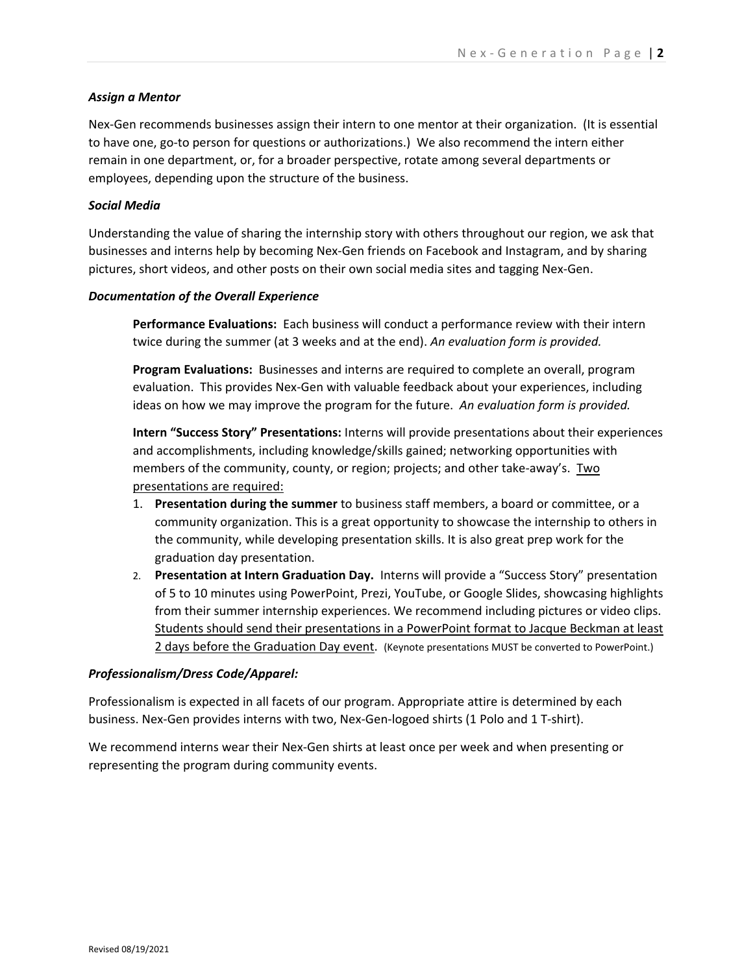### *Assign a Mentor*

Nex‐Gen recommends businesses assign their intern to one mentor at their organization. (It is essential to have one, go-to person for questions or authorizations.) We also recommend the intern either remain in one department, or, for a broader perspective, rotate among several departments or employees, depending upon the structure of the business.

### *Social Media*

Understanding the value of sharing the internship story with others throughout our region, we ask that businesses and interns help by becoming Nex‐Gen friends on Facebook and Instagram, and by sharing pictures, short videos, and other posts on their own social media sites and tagging Nex‐Gen.

### *Documentation of the Overall Experience*

**Performance Evaluations:** Each business will conduct a performance review with their intern twice during the summer (at 3 weeks and at the end). *An evaluation form is provided.* 

**Program Evaluations:** Businesses and interns are required to complete an overall, program evaluation. This provides Nex‐Gen with valuable feedback about your experiences, including ideas on how we may improve the program for the future. *An evaluation form is provided.*

**Intern "Success Story" Presentations:** Interns will provide presentations about their experiences and accomplishments, including knowledge/skills gained; networking opportunities with members of the community, county, or region; projects; and other take-away's. Two presentations are required:

- 1. **Presentation during the summer** to business staff members, a board or committee, or a community organization. This is a great opportunity to showcase the internship to others in the community, while developing presentation skills. It is also great prep work for the graduation day presentation.
- 2. **Presentation at Intern Graduation Day.** Interns will provide a "Success Story" presentation of 5 to 10 minutes using PowerPoint, Prezi, YouTube, or Google Slides, showcasing highlights from their summer internship experiences. We recommend including pictures or video clips. Students should send their presentations in a PowerPoint format to Jacque Beckman at least 2 days before the Graduation Day event. (Keynote presentations MUST be converted to PowerPoint.)

### *Professionalism/Dress Code/Apparel:*

Professionalism is expected in all facets of our program. Appropriate attire is determined by each business. Nex‐Gen provides interns with two, Nex‐Gen‐logoed shirts (1 Polo and 1 T‐shirt).

We recommend interns wear their Nex‐Gen shirts at least once per week and when presenting or representing the program during community events.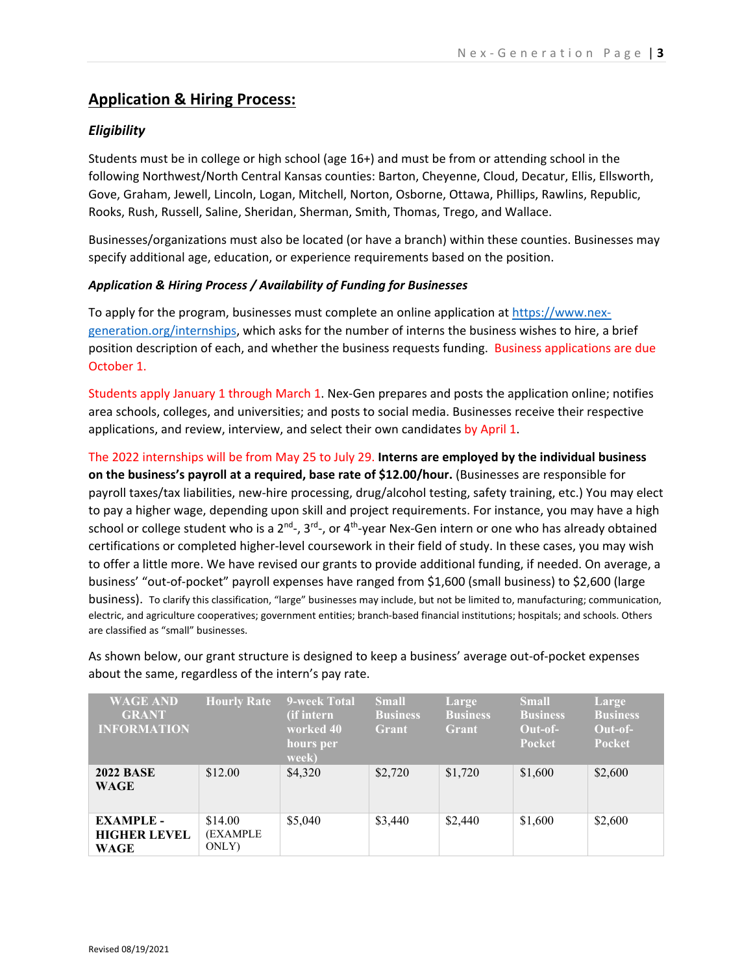## **Application & Hiring Process:**

## *Eligibility*

Students must be in college or high school (age 16+) and must be from or attending school in the following Northwest/North Central Kansas counties: Barton, Cheyenne, Cloud, Decatur, Ellis, Ellsworth, Gove, Graham, Jewell, Lincoln, Logan, Mitchell, Norton, Osborne, Ottawa, Phillips, Rawlins, Republic, Rooks, Rush, Russell, Saline, Sheridan, Sherman, Smith, Thomas, Trego, and Wallace.

Businesses/organizations must also be located (or have a branch) within these counties. Businesses may specify additional age, education, or experience requirements based on the position.

## *Application & Hiring Process / Availability of Funding for Businesses*

To apply for the program, businesses must complete an online application at https://www.nex‐ generation.org/internships, which asks for the number of interns the business wishes to hire, a brief position description of each, and whether the business requests funding. Business applications are due October 1.

Students apply January 1 through March 1. Nex‐Gen prepares and posts the application online; notifies area schools, colleges, and universities; and posts to social media. Businesses receive their respective applications, and review, interview, and select their own candidates by April 1.

The 2022 internships will be from May 25 to July 29. **Interns are employed by the individual business on the business's payroll at a required, base rate of \$12.00/hour.** (Businesses are responsible for payroll taxes/tax liabilities, new-hire processing, drug/alcohol testing, safety training, etc.) You may elect to pay a higher wage, depending upon skill and project requirements. For instance, you may have a high school or college student who is a  $2^{nd}$ -,  $3^{rd}$ -, or 4<sup>th</sup>-year Nex-Gen intern or one who has already obtained certifications or completed higher‐level coursework in their field of study. In these cases, you may wish to offer a little more. We have revised our grants to provide additional funding, if needed. On average, a business' "out‐of‐pocket" payroll expenses have ranged from \$1,600 (small business) to \$2,600 (large business). To clarify this classification, "large" businesses may include, but not be limited to, manufacturing; communication, electric, and agriculture cooperatives; government entities; branch‐based financial institutions; hospitals; and schools. Others are classified as "small" businesses.

As shown below, our grant structure is designed to keep a business' average out‐of‐pocket expenses about the same, regardless of the intern's pay rate.

| <b>WAGE AND</b><br><b>GRANT</b><br><b>INFORMATION</b> | <b>Hourly Rate</b>           | <b>9-week Total</b><br>(if intern<br>worked 40<br>hours per<br>week) | <b>Small</b><br><b>Business</b><br>Grant | Large<br><b>Business</b><br>Grant | <b>Small</b><br><b>Business</b><br>Out-of-<br><b>Pocket</b> | Large<br><b>Business</b><br>Out-of-<br><b>Pocket</b> |
|-------------------------------------------------------|------------------------------|----------------------------------------------------------------------|------------------------------------------|-----------------------------------|-------------------------------------------------------------|------------------------------------------------------|
| <b>2022 BASE</b><br>WAGE                              | \$12.00                      | \$4,320                                                              | \$2,720                                  | \$1,720                           | \$1,600                                                     | \$2,600                                              |
| <b>EXAMPLE-</b><br><b>HIGHER LEVEL</b><br>WAGE        | \$14.00<br>(EXAMPLE<br>ONLY) | \$5,040                                                              | \$3,440                                  | \$2,440                           | \$1,600                                                     | \$2,600                                              |